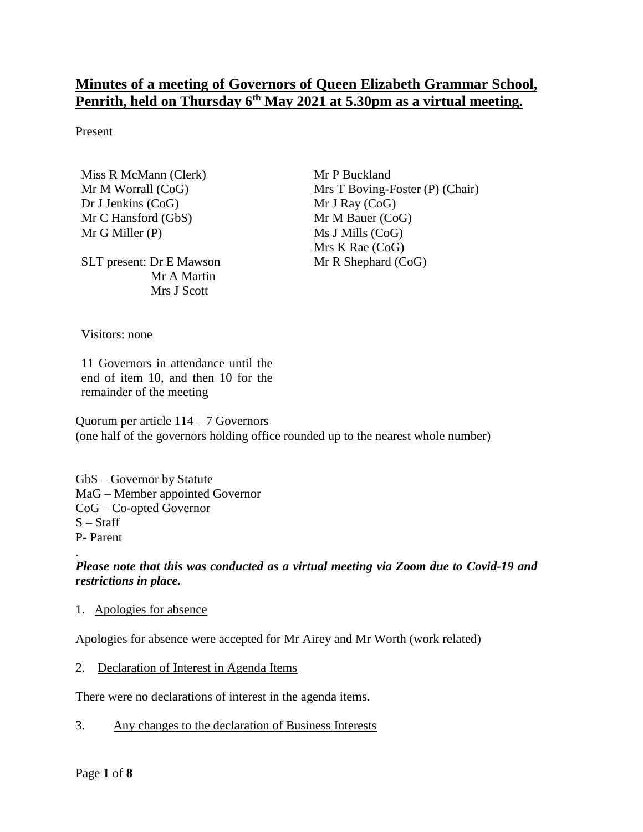# **Minutes of a meeting of Governors of Queen Elizabeth Grammar School, Penrith, held on Thursday 6 th May 2021 at 5.30pm as a virtual meeting.**

Present

Miss R McMann (Clerk) Mr M Worrall (CoG) Dr J Jenkins (CoG) Mr C Hansford (GbS) Mr G Miller (P)

SLT present: Dr E Mawson Mr A Martin Mrs J Scott

Mr P Buckland Mrs T Boving-Foster (P) (Chair) Mr J Ray (CoG) Mr M Bauer (CoG) Ms J Mills (CoG) Mrs K Rae (CoG) Mr R Shephard (CoG)

Visitors: none

11 Governors in attendance until the end of item 10, and then 10 for the remainder of the meeting

Quorum per article 114 – 7 Governors (one half of the governors holding office rounded up to the nearest whole number)

GbS – Governor by Statute MaG – Member appointed Governor CoG – Co-opted Governor  $S - Staff$ P- Parent

## *Please note that this was conducted as a virtual meeting via Zoom due to Covid-19 and restrictions in place.*

#### 1. Apologies for absence

Apologies for absence were accepted for Mr Airey and Mr Worth (work related)

#### 2. Declaration of Interest in Agenda Items

There were no declarations of interest in the agenda items.

3. Any changes to the declaration of Business Interests

.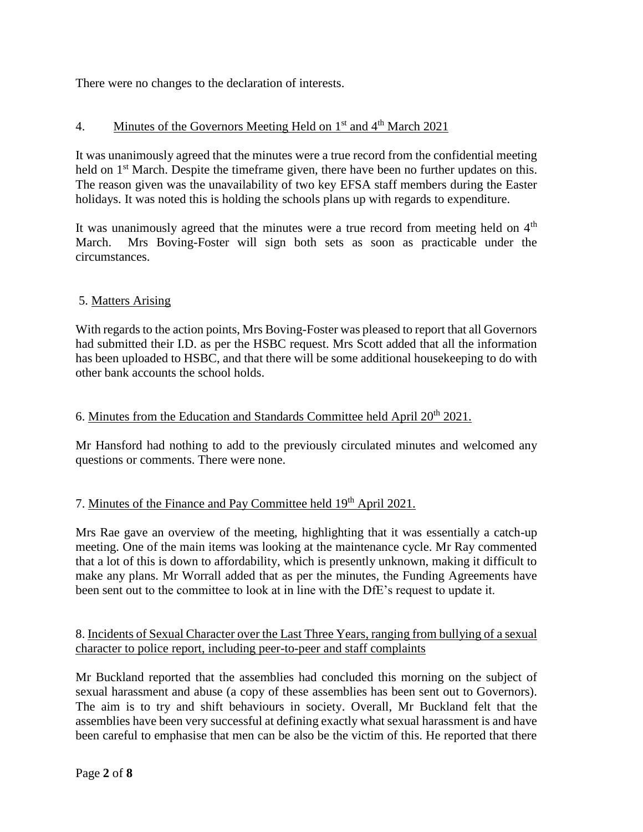There were no changes to the declaration of interests.

## 4. Minutes of the Governors Meeting Held on  $1<sup>st</sup>$  and  $4<sup>th</sup>$  March 2021

It was unanimously agreed that the minutes were a true record from the confidential meeting held on 1<sup>st</sup> March. Despite the timeframe given, there have been no further updates on this. The reason given was the unavailability of two key EFSA staff members during the Easter holidays. It was noted this is holding the schools plans up with regards to expenditure.

It was unanimously agreed that the minutes were a true record from meeting held on 4<sup>th</sup> March. Mrs Boving-Foster will sign both sets as soon as practicable under the circumstances.

## 5. Matters Arising

With regards to the action points, Mrs Boving-Foster was pleased to report that all Governors had submitted their I.D. as per the HSBC request. Mrs Scott added that all the information has been uploaded to HSBC, and that there will be some additional housekeeping to do with other bank accounts the school holds.

## 6. Minutes from the Education and Standards Committee held April  $20^{th}$   $2021$ .

Mr Hansford had nothing to add to the previously circulated minutes and welcomed any questions or comments. There were none.

## 7. Minutes of the Finance and Pay Committee held 19<sup>th</sup> April 2021.

Mrs Rae gave an overview of the meeting, highlighting that it was essentially a catch-up meeting. One of the main items was looking at the maintenance cycle. Mr Ray commented that a lot of this is down to affordability, which is presently unknown, making it difficult to make any plans. Mr Worrall added that as per the minutes, the Funding Agreements have been sent out to the committee to look at in line with the DfE's request to update it.

## 8. Incidents of Sexual Character over the Last Three Years, ranging from bullying of a sexual character to police report, including peer-to-peer and staff complaints

Mr Buckland reported that the assemblies had concluded this morning on the subject of sexual harassment and abuse (a copy of these assemblies has been sent out to Governors). The aim is to try and shift behaviours in society. Overall, Mr Buckland felt that the assemblies have been very successful at defining exactly what sexual harassment is and have been careful to emphasise that men can be also be the victim of this. He reported that there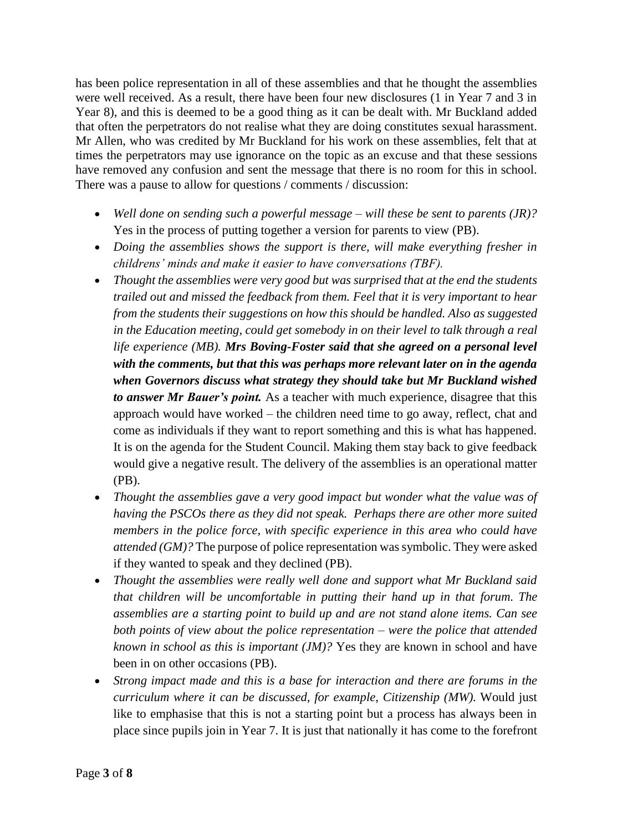has been police representation in all of these assemblies and that he thought the assemblies were well received. As a result, there have been four new disclosures (1 in Year 7 and 3 in Year 8), and this is deemed to be a good thing as it can be dealt with. Mr Buckland added that often the perpetrators do not realise what they are doing constitutes sexual harassment. Mr Allen, who was credited by Mr Buckland for his work on these assemblies, felt that at times the perpetrators may use ignorance on the topic as an excuse and that these sessions have removed any confusion and sent the message that there is no room for this in school. There was a pause to allow for questions / comments / discussion:

- *Well done on sending such a powerful message – will these be sent to parents (JR)?*  Yes in the process of putting together a version for parents to view (PB).
- *Doing the assemblies shows the support is there, will make everything fresher in childrens' minds and make it easier to have conversations (TBF).*
- *Thought the assemblies were very good but was surprised that at the end the students trailed out and missed the feedback from them. Feel that it is very important to hear from the students their suggestions on how this should be handled. Also as suggested in the Education meeting, could get somebody in on their level to talk through a real life experience (MB). Mrs Boving-Foster said that she agreed on a personal level with the comments, but that this was perhaps more relevant later on in the agenda when Governors discuss what strategy they should take but Mr Buckland wished to answer Mr Bauer's point.* As a teacher with much experience, disagree that this approach would have worked – the children need time to go away, reflect, chat and come as individuals if they want to report something and this is what has happened. It is on the agenda for the Student Council. Making them stay back to give feedback would give a negative result. The delivery of the assemblies is an operational matter (PB).
- *Thought the assemblies gave a very good impact but wonder what the value was of having the PSCOs there as they did not speak. Perhaps there are other more suited members in the police force, with specific experience in this area who could have attended (GM)?* The purpose of police representation was symbolic. They were asked if they wanted to speak and they declined (PB).
- *Thought the assemblies were really well done and support what Mr Buckland said that children will be uncomfortable in putting their hand up in that forum. The assemblies are a starting point to build up and are not stand alone items. Can see both points of view about the police representation – were the police that attended known in school as this is important (JM)?* Yes they are known in school and have been in on other occasions (PB).
- *Strong impact made and this is a base for interaction and there are forums in the curriculum where it can be discussed, for example, Citizenship (MW).* Would just like to emphasise that this is not a starting point but a process has always been in place since pupils join in Year 7. It is just that nationally it has come to the forefront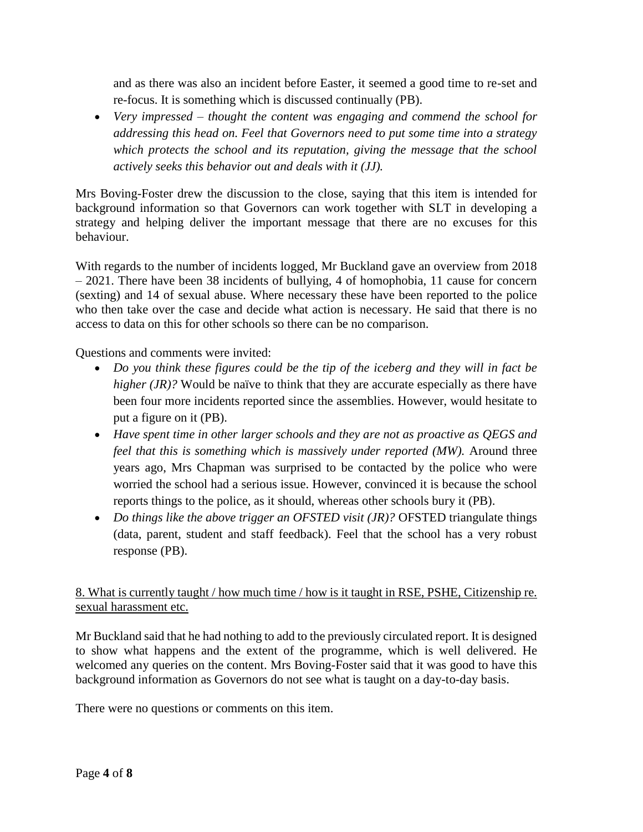and as there was also an incident before Easter, it seemed a good time to re-set and re-focus. It is something which is discussed continually (PB).

 *Very impressed – thought the content was engaging and commend the school for addressing this head on. Feel that Governors need to put some time into a strategy which protects the school and its reputation, giving the message that the school actively seeks this behavior out and deals with it (JJ).*

Mrs Boving-Foster drew the discussion to the close, saying that this item is intended for background information so that Governors can work together with SLT in developing a strategy and helping deliver the important message that there are no excuses for this behaviour.

With regards to the number of incidents logged, Mr Buckland gave an overview from 2018 – 2021. There have been 38 incidents of bullying, 4 of homophobia, 11 cause for concern (sexting) and 14 of sexual abuse. Where necessary these have been reported to the police who then take over the case and decide what action is necessary. He said that there is no access to data on this for other schools so there can be no comparison.

Questions and comments were invited:

- Do you think these figures could be the tip of the iceberg and they will in fact be *higher (JR)?* Would be naïve to think that they are accurate especially as there have been four more incidents reported since the assemblies. However, would hesitate to put a figure on it (PB).
- *Have spent time in other larger schools and they are not as proactive as QEGS and feel that this is something which is massively under reported (MW).* Around three years ago, Mrs Chapman was surprised to be contacted by the police who were worried the school had a serious issue. However, convinced it is because the school reports things to the police, as it should, whereas other schools bury it (PB).
- *Do things like the above trigger an OFSTED visit (JR)?* OFSTED triangulate things (data, parent, student and staff feedback). Feel that the school has a very robust response (PB).

## 8. What is currently taught / how much time / how is it taught in RSE, PSHE, Citizenship re. sexual harassment etc.

Mr Buckland said that he had nothing to add to the previously circulated report. It is designed to show what happens and the extent of the programme, which is well delivered. He welcomed any queries on the content. Mrs Boving-Foster said that it was good to have this background information as Governors do not see what is taught on a day-to-day basis.

There were no questions or comments on this item.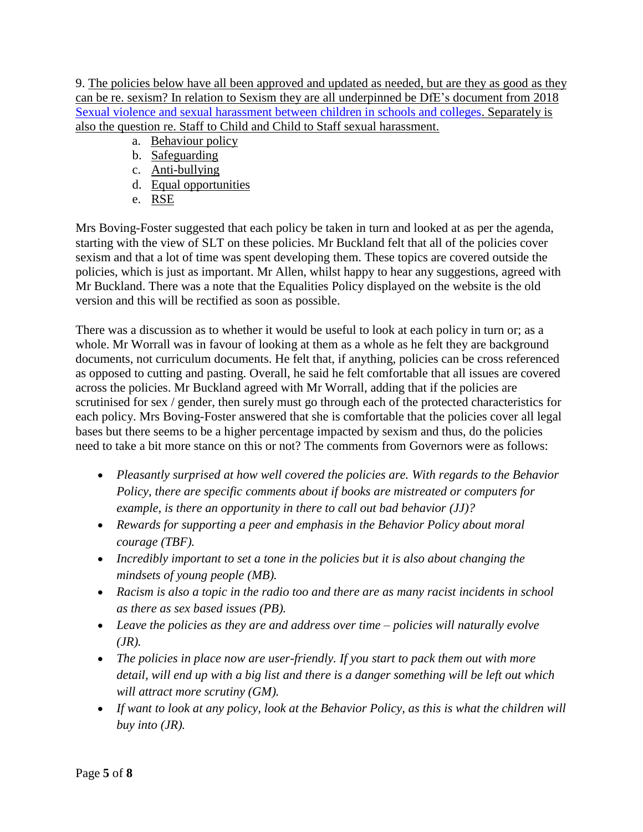9. The policies below have all been approved and updated as needed, but are they as good as they can be re. sexism? In relation to Sexism they are all underpinned be DfE's document from 2018 [Sexual violence and sexual harassment between children in schools and colleges.](https://assets.publishing.service.gov.uk/government/uploads/system/uploads/attachment_data/file/719902/Sexual_violence_and_sexual_harassment_between_children_in_schools_and_colleges.pdf) Separately is also the question re. Staff to Child and Child to Staff sexual harassment.

- a. Behaviour policy
- b. Safeguarding
- c. Anti-bullying
- d. Equal opportunities
- e. RSE

Mrs Boving-Foster suggested that each policy be taken in turn and looked at as per the agenda, starting with the view of SLT on these policies. Mr Buckland felt that all of the policies cover sexism and that a lot of time was spent developing them. These topics are covered outside the policies, which is just as important. Mr Allen, whilst happy to hear any suggestions, agreed with Mr Buckland. There was a note that the Equalities Policy displayed on the website is the old version and this will be rectified as soon as possible.

There was a discussion as to whether it would be useful to look at each policy in turn or; as a whole. Mr Worrall was in favour of looking at them as a whole as he felt they are background documents, not curriculum documents. He felt that, if anything, policies can be cross referenced as opposed to cutting and pasting. Overall, he said he felt comfortable that all issues are covered across the policies. Mr Buckland agreed with Mr Worrall, adding that if the policies are scrutinised for sex / gender, then surely must go through each of the protected characteristics for each policy. Mrs Boving-Foster answered that she is comfortable that the policies cover all legal bases but there seems to be a higher percentage impacted by sexism and thus, do the policies need to take a bit more stance on this or not? The comments from Governors were as follows:

- *Pleasantly surprised at how well covered the policies are. With regards to the Behavior Policy, there are specific comments about if books are mistreated or computers for example, is there an opportunity in there to call out bad behavior (JJ)?*
- *Rewards for supporting a peer and emphasis in the Behavior Policy about moral courage (TBF).*
- *Incredibly important to set a tone in the policies but it is also about changing the mindsets of young people (MB).*
- *Racism is also a topic in the radio too and there are as many racist incidents in school as there as sex based issues (PB).*
- *Leave the policies as they are and address over time – policies will naturally evolve (JR).*
- *The policies in place now are user-friendly. If you start to pack them out with more detail, will end up with a big list and there is a danger something will be left out which will attract more scrutiny (GM).*
- If want to look at any policy, look at the Behavior Policy, as this is what the children will *buy into (JR).*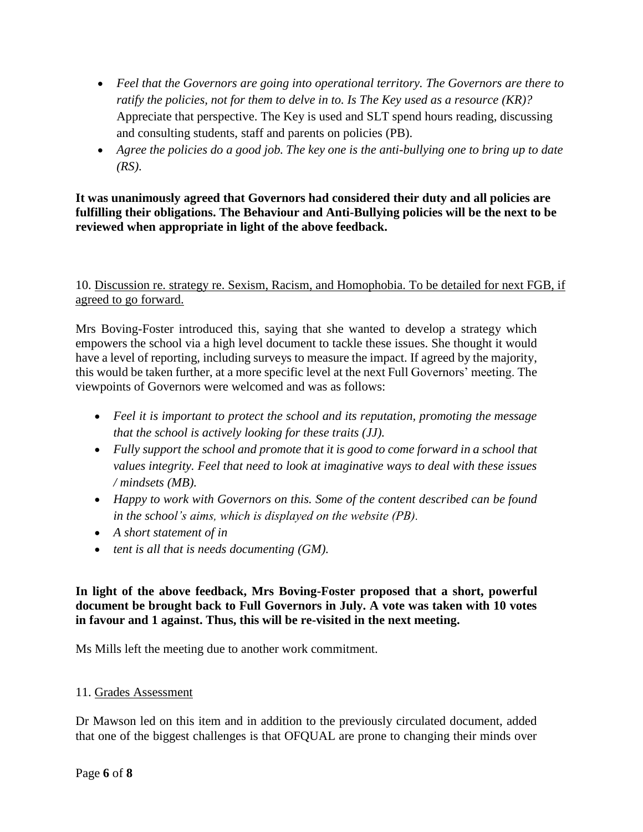- *Feel that the Governors are going into operational territory. The Governors are there to ratify the policies, not for them to delve in to. Is The Key used as a resource (KR)?* Appreciate that perspective. The Key is used and SLT spend hours reading, discussing and consulting students, staff and parents on policies (PB).
- *Agree the policies do a good job. The key one is the anti-bullying one to bring up to date (RS).*

## **It was unanimously agreed that Governors had considered their duty and all policies are fulfilling their obligations. The Behaviour and Anti-Bullying policies will be the next to be reviewed when appropriate in light of the above feedback.**

10. Discussion re. strategy re. Sexism, Racism, and Homophobia. To be detailed for next FGB, if agreed to go forward.

Mrs Boving-Foster introduced this, saying that she wanted to develop a strategy which empowers the school via a high level document to tackle these issues. She thought it would have a level of reporting, including surveys to measure the impact. If agreed by the majority, this would be taken further, at a more specific level at the next Full Governors' meeting. The viewpoints of Governors were welcomed and was as follows:

- *Feel it is important to protect the school and its reputation, promoting the message that the school is actively looking for these traits (JJ).*
- *Fully support the school and promote that it is good to come forward in a school that values integrity. Feel that need to look at imaginative ways to deal with these issues / mindsets (MB).*
- *Happy to work with Governors on this. Some of the content described can be found in the school's aims, which is displayed on the website (PB).*
- *A short statement of in*
- *tent is all that is needs documenting (GM).*

## **In light of the above feedback, Mrs Boving-Foster proposed that a short, powerful document be brought back to Full Governors in July. A vote was taken with 10 votes in favour and 1 against. Thus, this will be re-visited in the next meeting.**

Ms Mills left the meeting due to another work commitment.

## 11. Grades Assessment

Dr Mawson led on this item and in addition to the previously circulated document, added that one of the biggest challenges is that OFQUAL are prone to changing their minds over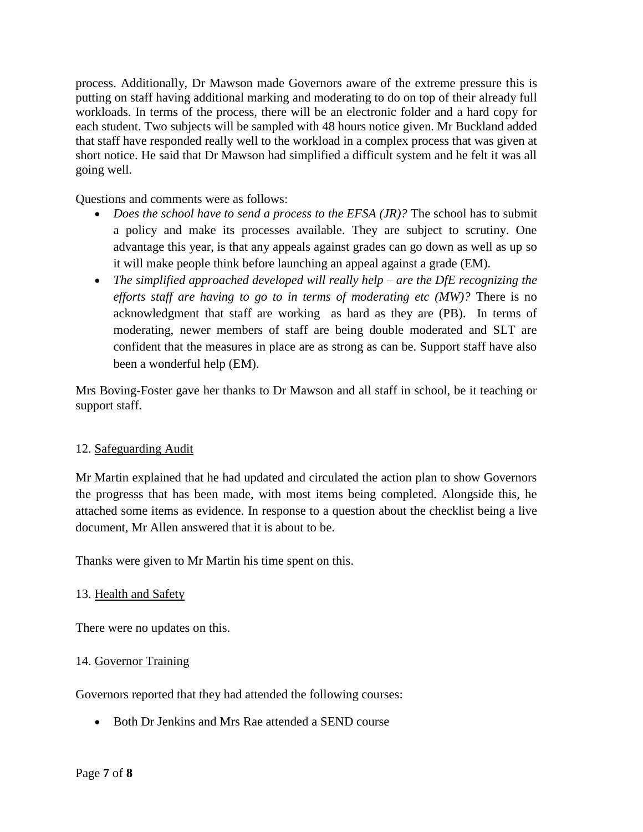process. Additionally, Dr Mawson made Governors aware of the extreme pressure this is putting on staff having additional marking and moderating to do on top of their already full workloads. In terms of the process, there will be an electronic folder and a hard copy for each student. Two subjects will be sampled with 48 hours notice given. Mr Buckland added that staff have responded really well to the workload in a complex process that was given at short notice. He said that Dr Mawson had simplified a difficult system and he felt it was all going well.

Questions and comments were as follows:

- *Does the school have to send a process to the EFSA (JR)?* The school has to submit a policy and make its processes available. They are subject to scrutiny. One advantage this year, is that any appeals against grades can go down as well as up so it will make people think before launching an appeal against a grade (EM).
- *The simplified approached developed will really help – are the DfE recognizing the efforts staff are having to go to in terms of moderating etc (MW)?* There is no acknowledgment that staff are working as hard as they are (PB). In terms of moderating, newer members of staff are being double moderated and SLT are confident that the measures in place are as strong as can be. Support staff have also been a wonderful help (EM).

Mrs Boving-Foster gave her thanks to Dr Mawson and all staff in school, be it teaching or support staff.

### 12. Safeguarding Audit

Mr Martin explained that he had updated and circulated the action plan to show Governors the progresss that has been made, with most items being completed. Alongside this, he attached some items as evidence. In response to a question about the checklist being a live document, Mr Allen answered that it is about to be.

Thanks were given to Mr Martin his time spent on this.

## 13. Health and Safety

There were no updates on this.

### 14. Governor Training

Governors reported that they had attended the following courses:

• Both Dr Jenkins and Mrs Rae attended a SEND course